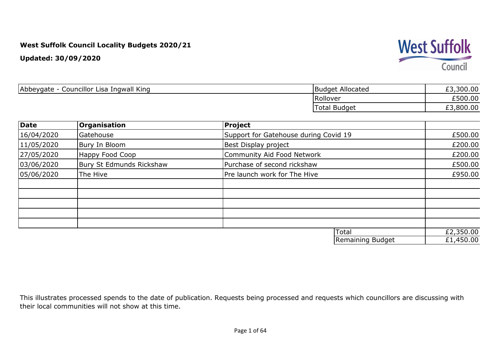**Updated: 30/09/2020**



| Councillor Lisa Ingwall King<br>Abbeygate - | <b>Budget Allocated</b> | .300.00<br>ェコ               |
|---------------------------------------------|-------------------------|-----------------------------|
|                                             | Rollover                | £500.00                     |
|                                             | <b>Total Budget</b>     | ,800.00<br><b>CO</b><br>_ _ |

| Date       | <b>Organisation</b>      | Project                               |                      |
|------------|--------------------------|---------------------------------------|----------------------|
| 16/04/2020 | Gatehouse                | Support for Gatehouse during Covid 19 | £500.00              |
| 11/05/2020 | Bury In Bloom            | Best Display project                  | £200.00              |
| 27/05/2020 | Happy Food Coop          | Community Aid Food Network            | £200.00              |
| 03/06/2020 | Bury St Edmunds Rickshaw | Purchase of second rickshaw           | £500.00              |
| 05/06/2020 | The Hive                 | Pre launch work for The Hive          | £950.00              |
|            |                          |                                       |                      |
|            |                          |                                       |                      |
|            |                          |                                       |                      |
|            |                          |                                       |                      |
|            |                          |                                       |                      |
|            |                          | Total                                 | £2,350.00            |
|            |                          | $\sim$ $\sim$ $\sim$ $\sim$<br>.      | $\sim$ $\sim$ $\sim$ |

| i i utdi         | LZ,JJU.UU |
|------------------|-----------|
| Remaining Budget | £1,450.00 |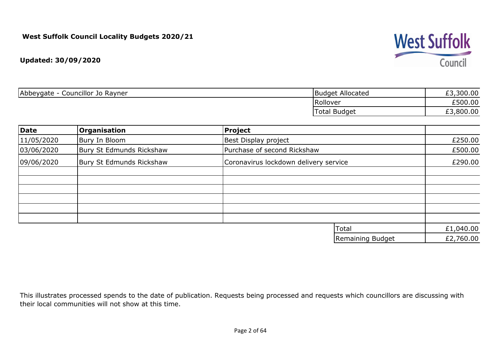

| Abbeygate<br>Councillor Jo Rayner<br>$\overline{\phantom{a}}$ | Budget Allocated    | £3,300.00            |
|---------------------------------------------------------------|---------------------|----------------------|
|                                                               | <b>Rollover</b>     | £500.00              |
|                                                               | <b>Total Budget</b> | ,800.00<br>rっ<br>7.J |

| Date       | Organisation             | <b>Project</b>                        |           |
|------------|--------------------------|---------------------------------------|-----------|
| 11/05/2020 | Bury In Bloom            | Best Display project                  | £250.00   |
| 03/06/2020 | Bury St Edmunds Rickshaw | Purchase of second Rickshaw           | £500.00   |
| 09/06/2020 | Bury St Edmunds Rickshaw | Coronavirus lockdown delivery service | £290.00   |
|            |                          |                                       |           |
|            |                          |                                       |           |
|            |                          |                                       |           |
|            |                          |                                       |           |
|            |                          |                                       |           |
|            |                          | Total                                 | £1,040.00 |
|            |                          | Remaining Budget                      | £2,760.00 |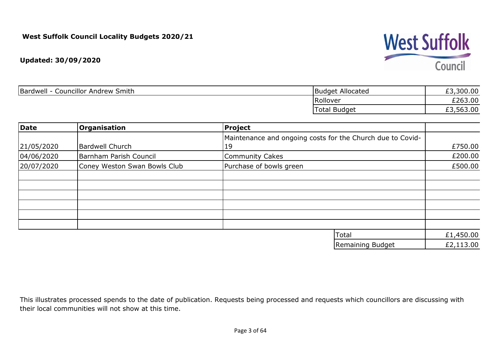#### **Updated: 30/09/2020**

| <b>Councillor Andrew Smith</b><br>Bardwell | <b>Budget Allocated</b> | £3,300.00 |
|--------------------------------------------|-------------------------|-----------|
|                                            | Rollover                | £263.00   |
|                                            | 'Total<br><b>Budget</b> | £3,563.00 |

| Date       | Organisation                 | <b>Project</b>                                             |           |
|------------|------------------------------|------------------------------------------------------------|-----------|
|            |                              | Maintenance and ongoing costs for the Church due to Covid- |           |
| 21/05/2020 | <b>Bardwell Church</b>       | 19                                                         | £750.00   |
| 04/06/2020 | Barnham Parish Council       | <b>Community Cakes</b>                                     | £200.00   |
| 20/07/2020 | Coney Weston Swan Bowls Club | Purchase of bowls green                                    | £500.00   |
|            |                              |                                                            |           |
|            |                              |                                                            |           |
|            |                              |                                                            |           |
|            |                              |                                                            |           |
|            |                              |                                                            |           |
|            |                              |                                                            |           |
|            |                              | Total                                                      | £1,450.00 |
|            |                              |                                                            |           |

| Remaining Budget | £2,113.00 |
|------------------|-----------|
|------------------|-----------|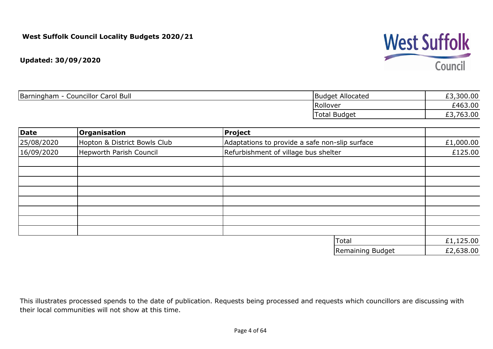

| <b>Councillor Carol Bull</b><br>Barningham | Budget Allocated    | 300.00<br>--      |
|--------------------------------------------|---------------------|-------------------|
|                                            | Rollover            | £463.00           |
|                                            | <b>Total Budget</b> | 763.00<br>--<br>້ |

| Date       | Organisation                   | Project                                        |           |
|------------|--------------------------------|------------------------------------------------|-----------|
| 25/08/2020 | Hopton & District Bowls Club   | Adaptations to provide a safe non-slip surface | £1,000.00 |
| 16/09/2020 | <b>Hepworth Parish Council</b> | Refurbishment of village bus shelter           | £125.00   |
|            |                                |                                                |           |
|            |                                |                                                |           |
|            |                                |                                                |           |
|            |                                |                                                |           |
|            |                                |                                                |           |
|            |                                |                                                |           |
|            |                                |                                                |           |
|            |                                | Total                                          | £1,125.00 |

| .                | ---------------- |
|------------------|------------------|
| Remaining Budget | £2,638.00        |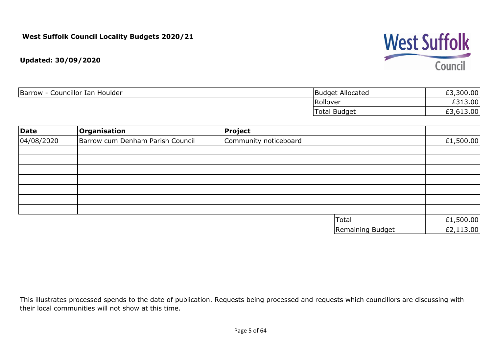# **West Suffolk** Council

**Updated: 30/09/2020**

| Councillor Ian Houlder<br>Barrow | Budget Allocated    | ,300.00<br><b>rn</b> |
|----------------------------------|---------------------|----------------------|
|                                  | Rollover            | £313.00              |
|                                  | <b>Total Budget</b> | £3,613.00            |

| Date       | Organisation                     | <b>Project</b>        |           |
|------------|----------------------------------|-----------------------|-----------|
| 04/08/2020 | Barrow cum Denham Parish Council | Community noticeboard | £1,500.00 |
|            |                                  |                       |           |
|            |                                  |                       |           |
|            |                                  |                       |           |
|            |                                  |                       |           |
|            |                                  |                       |           |
|            |                                  |                       |           |
|            |                                  |                       |           |
|            |                                  | Total                 | £1,500.00 |
|            |                                  | Remaining Budget      | £2,113.00 |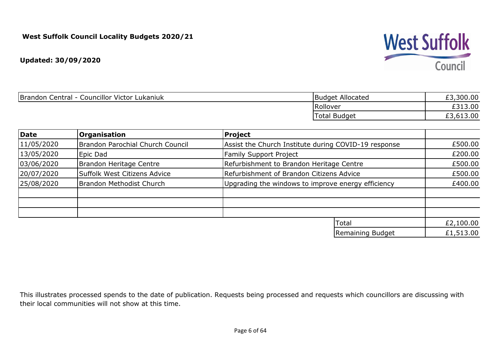

| Brandon Central - Councillor Victor Lukaniuk | Budget Allocated | £3,300.00 |
|----------------------------------------------|------------------|-----------|
|                                              | Rollover         | £313.00   |
|                                              | Total Budget     | £3,613.00 |

| Date       | <b>Organisation</b>              | Project                                              |           |
|------------|----------------------------------|------------------------------------------------------|-----------|
| 11/05/2020 | Brandon Parochial Church Council | Assist the Church Institute during COVID-19 response | £500.00   |
| 13/05/2020 | Epic Dad                         | <b>Family Support Project</b>                        | £200.00   |
| 03/06/2020 | Brandon Heritage Centre          | Refurbishment to Brandon Heritage Centre             | £500.00   |
| 20/07/2020 | Suffolk West Citizens Advice     | Refurbishment of Brandon Citizens Advice             | £500.00   |
| 25/08/2020 | Brandon Methodist Church         | Upgrading the windows to improve energy efficiency   |           |
|            |                                  |                                                      |           |
|            |                                  |                                                      |           |
|            |                                  | Total                                                | £2,100.00 |
|            |                                  | Remaining Budget                                     | £1,513.00 |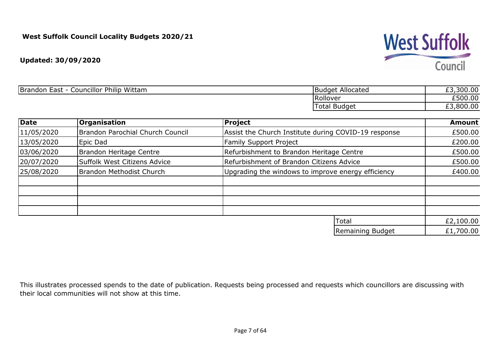**Updated: 30/09/2020**

| <b>Councillor Philip</b><br>Wittam<br><b>Brandon</b><br>. Fast.<br>ᆫᇅᇰᄔ | TBudget Allocated    | $\sim$<br>$^{\circ}$ 300.0 $\cup$<br>__ |
|-------------------------------------------------------------------------|----------------------|-----------------------------------------|
|                                                                         | Rollover             | £500.00                                 |
|                                                                         | .012<br>Total Budget | $\sim$ $\sim$<br>RUU<br>vv.vu<br>--     |

| Date       | <b>Organisation</b>              | <b>Project</b>                                       | <b>Amount</b> |
|------------|----------------------------------|------------------------------------------------------|---------------|
| 11/05/2020 | Brandon Parochial Church Council | Assist the Church Institute during COVID-19 response | £500.00       |
| 13/05/2020 | Epic Dad                         | Family Support Project                               | £200.00       |
| 03/06/2020 | Brandon Heritage Centre          | Refurbishment to Brandon Heritage Centre             | £500.00       |
| 20/07/2020 | Suffolk West Citizens Advice     | Refurbishment of Brandon Citizens Advice             | £500.00       |
| 25/08/2020 | Brandon Methodist Church         | Upgrading the windows to improve energy efficiency   | £400.00       |
|            |                                  |                                                      |               |
|            |                                  |                                                      |               |
|            |                                  | Total                                                | £2,100.00     |
|            |                                  | Remaining Budget                                     | £1,700.00     |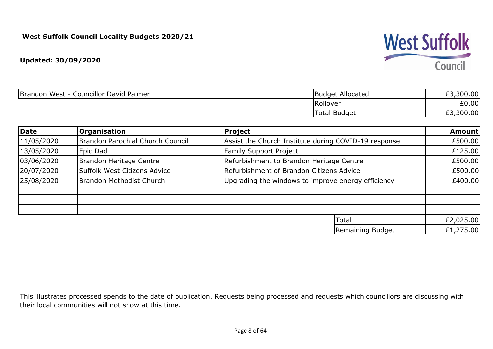

| Brandon West - Councillor David Palmer | Budget Allocated    | £3,300.00 |
|----------------------------------------|---------------------|-----------|
|                                        | Rollover            | £0.00     |
|                                        | <b>Total Budget</b> | £3,300.00 |

| Date       | <b>Organisation</b>              | <b>Project</b>                                       | <b>Amount</b> |
|------------|----------------------------------|------------------------------------------------------|---------------|
| 11/05/2020 | Brandon Parochial Church Council | Assist the Church Institute during COVID-19 response | £500.00       |
| 13/05/2020 | Epic Dad                         | <b>Family Support Project</b>                        | £125.00       |
| 03/06/2020 | Brandon Heritage Centre          | Refurbishment to Brandon Heritage Centre             | £500.00       |
| 20/07/2020 | Suffolk West Citizens Advice     | Refurbishment of Brandon Citizens Advice             | £500.00       |
| 25/08/2020 | Brandon Methodist Church         | Upgrading the windows to improve energy efficiency   | £400.00       |
|            |                                  |                                                      |               |
|            |                                  |                                                      |               |
|            |                                  | Total                                                | £2,025.00     |
|            |                                  | Remaining Budget                                     | £1,275.00     |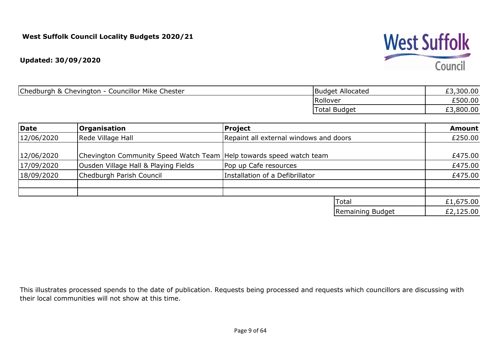

| Chedburgh & Chevington - Councillor Mike Chester | Budget Allocated    | £3,300.00 |
|--------------------------------------------------|---------------------|-----------|
|                                                  | Rollover            | £500.00   |
|                                                  | <b>Total Budget</b> | £3,800.00 |

| Date       | <b>Organisation</b>                                                 | Project                                |                  | <b>Amount</b> |
|------------|---------------------------------------------------------------------|----------------------------------------|------------------|---------------|
| 12/06/2020 | Rede Village Hall                                                   | Repaint all external windows and doors |                  | £250.00       |
| 12/06/2020 | Chevington Community Speed Watch Team Help towards speed watch team |                                        |                  | £475.00       |
| 17/09/2020 | Ousden Village Hall & Playing Fields                                | Pop up Cafe resources                  |                  | £475.00       |
| 18/09/2020 | Chedburgh Parish Council                                            | Installation of a Defibrillator        |                  | £475.00       |
|            |                                                                     |                                        |                  |               |
|            |                                                                     |                                        | Total            | £1,675.00     |
|            |                                                                     |                                        | Remaining Budget | £2,125.00     |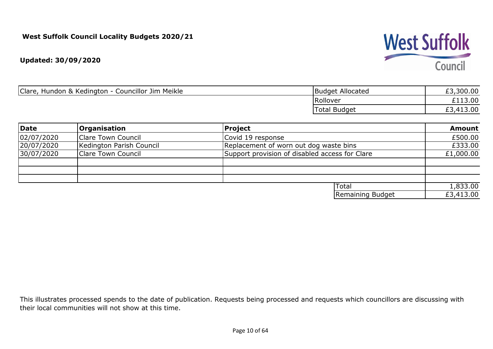**Updated: 30/09/2020**

| Clare,<br>Hundon & Kedington - Councillor Jim Meikle | Budget Allocated    | £3,300.00 |
|------------------------------------------------------|---------------------|-----------|
|                                                      | Rollover            | £113.00   |
|                                                      | <b>Total Budget</b> | £3,413.00 |

| Date       | <b>Organisation</b>       | Project                                        | <b>Amount</b> |
|------------|---------------------------|------------------------------------------------|---------------|
| 02/07/2020 | <b>Clare Town Council</b> | Covid 19 response                              | £500.00       |
| 20/07/2020 | Kedington Parish Council  | Replacement of worn out dog waste bins         | £333.00       |
| 30/07/2020 | <b>Clare Town Council</b> | Support provision of disabled access for Clare | £1,000.00     |
|            |                           |                                                |               |
|            |                           |                                                |               |
|            |                           |                                                |               |
|            |                           | <b>Total</b>                                   | 1,833.00      |
|            |                           | Remaining Budget                               | £3,413.00     |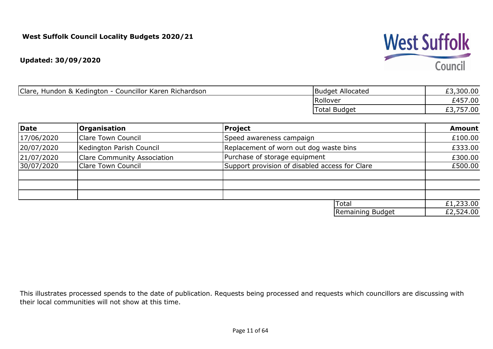#### **Updated: 30/09/2020**

| Clare,<br>Councillor Karen Richardson<br>Hundon & Kedington - | <b>Budget Allocated</b>      | £3,300.00        |
|---------------------------------------------------------------|------------------------------|------------------|
|                                                               | Rollover                     | £457.00          |
|                                                               | Total<br><sup>'</sup> Budget | ,757.00<br>ر . ب |

| Date       | Organisation                       | <b>Project</b>                                 | <b>Amount</b> |
|------------|------------------------------------|------------------------------------------------|---------------|
| 17/06/2020 | <b>Clare Town Council</b>          | Speed awareness campaign                       | £100.00       |
| 20/07/2020 | Kedington Parish Council           | Replacement of worn out dog waste bins         | £333.00       |
| 21/07/2020 | <b>Clare Community Association</b> | Purchase of storage equipment                  | £300.00       |
| 30/07/2020 | <b>Clare Town Council</b>          | Support provision of disabled access for Clare | £500.00       |
|            |                                    |                                                |               |
|            |                                    |                                                |               |
|            |                                    |                                                |               |
|            |                                    | Total                                          | £1,233.00     |
|            |                                    | Remaining Budget                               | £2,524.00     |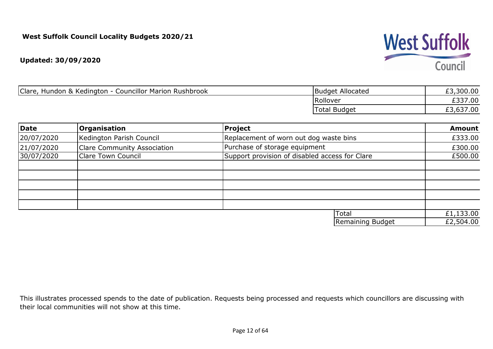#### **Updated: 30/09/2020**

| Clare,<br><b>Councillor Marion Rushbrook</b><br>Hundon & Kedington - | <b>Budget Allocated</b> | £3,300.00 |
|----------------------------------------------------------------------|-------------------------|-----------|
|                                                                      | Rollover                | £337.00   |
|                                                                      | <b>Total Budget</b>     | £3,637.00 |

| Date       | <b>Organisation</b>                | Project                                        | <b>Amount</b> |
|------------|------------------------------------|------------------------------------------------|---------------|
| 20/07/2020 | Kedington Parish Council           | Replacement of worn out dog waste bins         | £333.00       |
| 21/07/2020 | <b>Clare Community Association</b> | Purchase of storage equipment                  | £300.00       |
| 30/07/2020 | <b>Clare Town Council</b>          | Support provision of disabled access for Clare | £500.00       |
|            |                                    |                                                |               |
|            |                                    |                                                |               |
|            |                                    |                                                |               |
|            |                                    |                                                |               |
|            |                                    |                                                |               |
|            |                                    | Total                                          | £1,133.00     |
|            |                                    | Remaining Budget                               | £2,504.00     |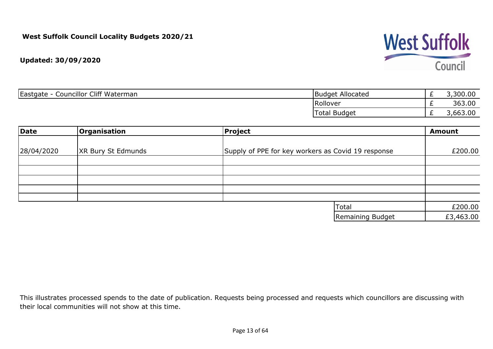

| Councillor Cliff Waterman<br>Eastgate | Allocated<br>Budget | _ | ,300.00     |
|---------------------------------------|---------------------|---|-------------|
|                                       | Rollover            | _ | 363.00      |
|                                       | Budget<br>otal.     | _ | 63.00<br>hh |

| Date       | Organisation              | Project                                            | <b>Amount</b> |
|------------|---------------------------|----------------------------------------------------|---------------|
| 28/04/2020 | <b>XR Bury St Edmunds</b> | Supply of PPE for key workers as Covid 19 response | £200.00       |
|            |                           |                                                    |               |
|            |                           |                                                    |               |
|            |                           |                                                    |               |
|            |                           |                                                    |               |
|            |                           |                                                    |               |
|            |                           | Total                                              | £200.00       |
|            |                           | Remaining Budget                                   | £3,463.00     |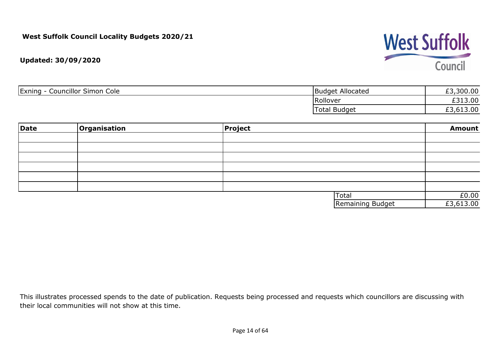# **West Suffolk** Council

**Updated: 30/09/2020**

| <b>Councillor Simon Cole</b><br>Exning<br>$-$ | Budget Allocated    | 300.00<br>$\sim$ |
|-----------------------------------------------|---------------------|------------------|
|                                               | Rollover            | L3.00<br>0.21    |
|                                               | <b>Total Budget</b> | £3,613.00        |

| Date | Organisation | <b>Project</b> |                  | <b>Amount</b> |
|------|--------------|----------------|------------------|---------------|
|      |              |                |                  |               |
|      |              |                |                  |               |
|      |              |                |                  |               |
|      |              |                |                  |               |
|      |              |                |                  |               |
|      |              |                |                  |               |
|      |              |                | Total            | E0.00         |
|      |              |                | Remaining Budget | £3,613.00     |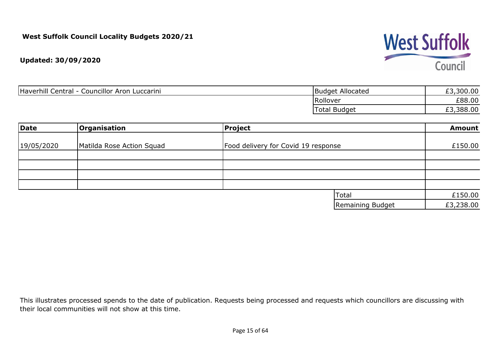

| Haverhill Central - Councillor Aron Luccarini | Budget Allocated    | £3,300.00 |
|-----------------------------------------------|---------------------|-----------|
|                                               | Rollover            | £88.00    |
|                                               | <b>Total Budget</b> | £3,388.00 |

| Date       | Organisation              | Project                             |                  | <b>Amount</b> |
|------------|---------------------------|-------------------------------------|------------------|---------------|
|            |                           |                                     |                  |               |
| 19/05/2020 | Matilda Rose Action Squad | Food delivery for Covid 19 response |                  | £150.00       |
|            |                           |                                     |                  |               |
|            |                           |                                     |                  |               |
|            |                           |                                     |                  |               |
|            |                           |                                     |                  |               |
|            |                           |                                     | Total            | £150.00       |
|            |                           |                                     | Remaining Budget | £3,238.00     |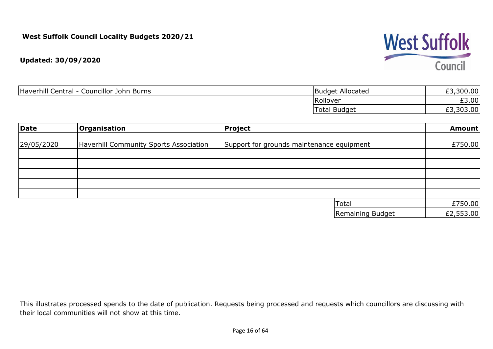

| Haverhill Central -<br>Councillor John Burns | <b>Budget Allocated</b> | 300.00    |
|----------------------------------------------|-------------------------|-----------|
|                                              | Rollover                | £3.00     |
|                                              | <b>Total Budget</b>     | £3,303.00 |

| <b>Date</b> | Organisation                           | <b>Project</b>                            | <b>Amount</b> |
|-------------|----------------------------------------|-------------------------------------------|---------------|
|             |                                        |                                           |               |
| 29/05/2020  | Haverhill Community Sports Association | Support for grounds maintenance equipment | £750.00       |
|             |                                        |                                           |               |
|             |                                        |                                           |               |
|             |                                        |                                           |               |
|             |                                        |                                           |               |
|             |                                        |                                           |               |
|             |                                        |                                           |               |
|             |                                        | <b>Total</b>                              | £750.00       |
|             |                                        | Remaining Budget                          | £2,553.00     |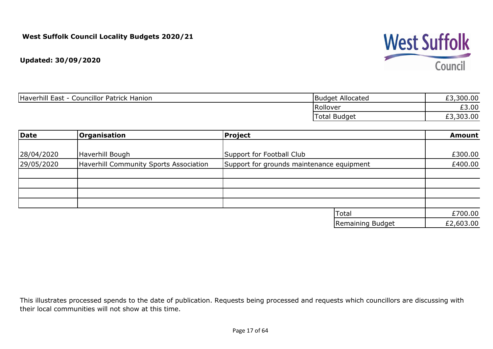

| Haverhill East<br><b>Councillor Patrick Hanion</b> | Budget Allocated    | £3,300.00 |
|----------------------------------------------------|---------------------|-----------|
|                                                    | Rollover            | £3.00     |
|                                                    | <b>Total Budget</b> | £3,303.00 |

| Date       | <b>Organisation</b>                           | <b>Project</b>                            | <b>Amount</b> |
|------------|-----------------------------------------------|-------------------------------------------|---------------|
|            |                                               |                                           |               |
| 28/04/2020 | Haverhill Bough                               | Support for Football Club                 | £300.00       |
| 29/05/2020 | <b>Haverhill Community Sports Association</b> | Support for grounds maintenance equipment | £400.00       |
|            |                                               |                                           |               |
|            |                                               |                                           |               |
|            |                                               |                                           |               |
|            |                                               |                                           |               |
|            |                                               | Total                                     | £700.00       |
|            |                                               | Remaining Budget                          | £2,603.00     |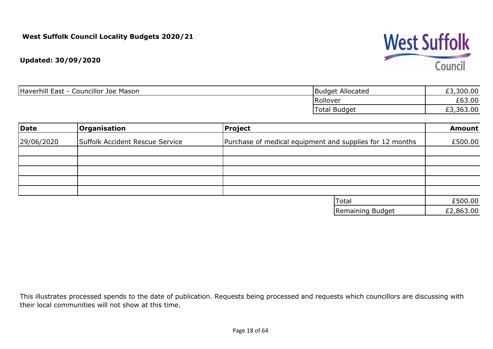

| Haverhill East<br>Councillor Joe Mason<br>- 1 | Budget Allocated    | £3,300.00 |
|-----------------------------------------------|---------------------|-----------|
|                                               | Rollover            | £63.00    |
|                                               | <b>Total Budget</b> | £3,363.00 |

| Date       | Organisation                    | <b>Project</b>                                           | <b>Amount</b> |
|------------|---------------------------------|----------------------------------------------------------|---------------|
| 29/06/2020 | Suffolk Accident Rescue Service | Purchase of medical equipment and supplies for 12 months | £500.00       |
|            |                                 |                                                          |               |
|            |                                 |                                                          |               |
|            |                                 |                                                          |               |
|            |                                 |                                                          |               |
|            |                                 | Total                                                    | £500.00       |
|            |                                 | Remaining Budget                                         | £2,863.00     |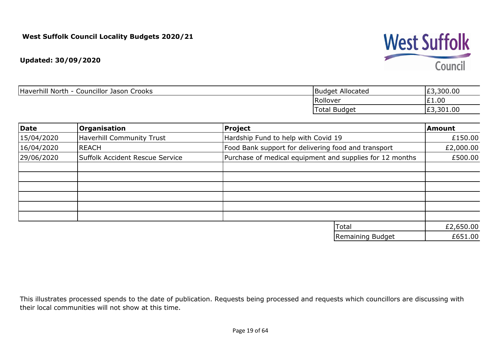**Updated: 30/09/2020**

| Haverhill North - Councillor Jason Crooks | <b>Budget Allocated</b> | ,300.00<br>E3 |
|-------------------------------------------|-------------------------|---------------|
|                                           | Rollover                | E1.00         |
|                                           | Total Budget            | ,301.00<br>E3 |

| Date       | <b>Organisation</b>              | Project                                                  | Amount    |
|------------|----------------------------------|----------------------------------------------------------|-----------|
| 15/04/2020 | <b>Haverhill Community Trust</b> | Hardship Fund to help with Covid 19                      | £150.00   |
| 16/04/2020 | <b>REACH</b>                     | Food Bank support for delivering food and transport      | £2,000.00 |
| 29/06/2020 | Suffolk Accident Rescue Service  | Purchase of medical equipment and supplies for 12 months | £500.00   |
|            |                                  |                                                          |           |
|            |                                  |                                                          |           |
|            |                                  |                                                          |           |
|            |                                  |                                                          |           |
|            |                                  |                                                          |           |
|            |                                  |                                                          |           |
|            |                                  | Total                                                    | £2,650.00 |
|            |                                  | Remaining Budget                                         | £651.00   |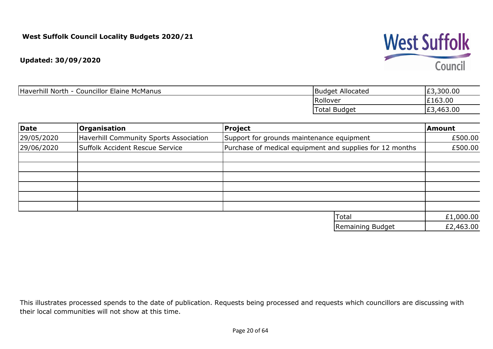

| Haverhill North - C<br><b>Councillor Elaine McManus</b> | <b>Budget Allocated</b> | ,300.00<br>ົິ<br>د±'    |
|---------------------------------------------------------|-------------------------|-------------------------|
|                                                         | Rollover                | £163.00                 |
|                                                         | Total Budget            | ,463.00<br>$\sim$<br>ェコ |

| Date       | <b>Organisation</b>                    | Project                                                  | <b>Amount</b> |
|------------|----------------------------------------|----------------------------------------------------------|---------------|
| 29/05/2020 | Haverhill Community Sports Association | Support for grounds maintenance equipment                | £500.00       |
| 29/06/2020 | Suffolk Accident Rescue Service        | Purchase of medical equipment and supplies for 12 months | £500.00       |
|            |                                        |                                                          |               |
|            |                                        |                                                          |               |
|            |                                        |                                                          |               |
|            |                                        |                                                          |               |
|            |                                        |                                                          |               |
|            |                                        |                                                          |               |
|            |                                        | Total                                                    | £1,000.00     |
|            |                                        | Remaining Budget                                         | £2,463.00     |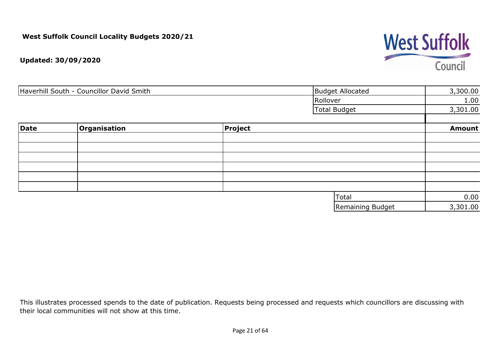# **West Suffolk** Council

**Updated: 30/09/2020**

| Haverhill South - Councillor David Smith |              |         | <b>Budget Allocated</b> | 3,300.00      |
|------------------------------------------|--------------|---------|-------------------------|---------------|
|                                          |              |         | Rollover                | 1.00          |
|                                          |              |         | Total Budget            | 3,301.00      |
| Date                                     | Organisation | Project |                         | <b>Amount</b> |
|                                          |              |         |                         |               |
|                                          |              |         |                         |               |
|                                          |              |         |                         |               |
|                                          |              |         |                         |               |
|                                          |              |         |                         |               |
|                                          |              |         |                         |               |
|                                          |              |         | Total                   | 0.00          |
|                                          |              |         | Remaining Budget        | 3,301.00      |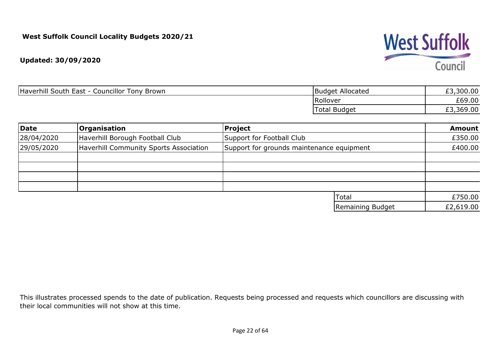

| Haverhill South East -<br><b>Councillor Tony Brown</b> | Budget Allocated    | £3,300.00 |
|--------------------------------------------------------|---------------------|-----------|
|                                                        | Rollover            | £69.00    |
|                                                        | <b>Total Budget</b> | £3,369.00 |

| Date       | Organisation                           | Project                                   | <b>Amount</b> |
|------------|----------------------------------------|-------------------------------------------|---------------|
| 28/04/2020 | Haverhill Borough Football Club        | Support for Football Club                 | £350.00       |
| 29/05/2020 | Haverhill Community Sports Association | Support for grounds maintenance equipment | £400.00       |
|            |                                        |                                           |               |
|            |                                        |                                           |               |
|            |                                        |                                           |               |
|            |                                        |                                           |               |
|            |                                        | Total                                     | £750.00       |
|            |                                        | Remaining Budget                          | £2,619.00     |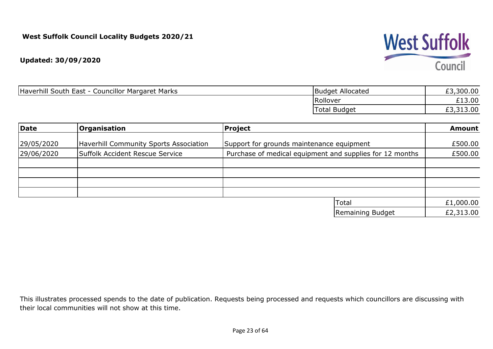

| Haverhill South East -<br><b>Councillor Margaret Marks</b> | Budget Allocated    | 300.00    |
|------------------------------------------------------------|---------------------|-----------|
|                                                            | Rollover            | £13.00    |
|                                                            | <b>Total Budget</b> | £3,313.00 |

| Date       | Organisation                                  | Project                                                  | <b>Amount</b> |
|------------|-----------------------------------------------|----------------------------------------------------------|---------------|
|            |                                               |                                                          |               |
| 29/05/2020 | <b>Haverhill Community Sports Association</b> | Support for grounds maintenance equipment                | £500.00       |
| 29/06/2020 | Suffolk Accident Rescue Service               | Purchase of medical equipment and supplies for 12 months | £500.00       |
|            |                                               |                                                          |               |
|            |                                               |                                                          |               |
|            |                                               |                                                          |               |
|            |                                               |                                                          |               |
|            |                                               | Total                                                    | £1,000.00     |
|            |                                               | Remaining Budget                                         | £2,313.00     |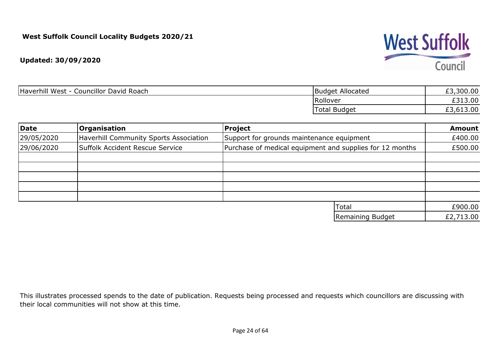

| Haverhill West - Councillor David Roach | <b>Budget Allocated</b> | £3,300.00 |
|-----------------------------------------|-------------------------|-----------|
|                                         | Rollover                | £313.00   |
|                                         | <b>Total Budget</b>     | £3,613.00 |

| Date       | <b>Organisation</b>                    | Project                                                  | <b>Amount</b> |
|------------|----------------------------------------|----------------------------------------------------------|---------------|
| 29/05/2020 | Haverhill Community Sports Association | Support for grounds maintenance equipment                | £400.00       |
| 29/06/2020 | Suffolk Accident Rescue Service        | Purchase of medical equipment and supplies for 12 months | £500.00       |
|            |                                        |                                                          |               |
|            |                                        |                                                          |               |
|            |                                        |                                                          |               |
|            |                                        |                                                          |               |
|            |                                        |                                                          |               |
|            |                                        | Total                                                    | £900.00       |
|            |                                        | Remaining Budget                                         | £2,713.00     |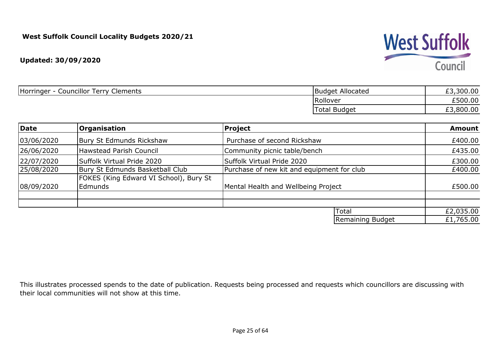

| Councillor Terry<br>Horringer<br>Clements | Budget Allocated    | £3,300.00 |
|-------------------------------------------|---------------------|-----------|
|                                           | Rollover            | £500.00   |
|                                           | <b>Total Budget</b> | £3,800.00 |

| Date       | Organisation                                      | <b>Project</b>                             | <b>Amount</b> |
|------------|---------------------------------------------------|--------------------------------------------|---------------|
| 03/06/2020 | Bury St Edmunds Rickshaw                          | Purchase of second Rickshaw                | £400.00       |
| 26/06/2020 | <b>Hawstead Parish Council</b>                    | Community picnic table/bench               | £435.00       |
| 22/07/2020 | Suffolk Virtual Pride 2020                        | Suffolk Virtual Pride 2020                 | £300.00       |
| 25/08/2020 | Bury St Edmunds Basketball Club                   | Purchase of new kit and equipment for club | £400.00       |
| 08/09/2020 | FOKES (King Edward VI School), Bury St<br>Edmunds | Mental Health and Wellbeing Project        | £500.00       |
|            |                                                   |                                            |               |
|            |                                                   | Total                                      | £2,035.00     |
|            |                                                   | Remaining Budget                           | £1,765.00     |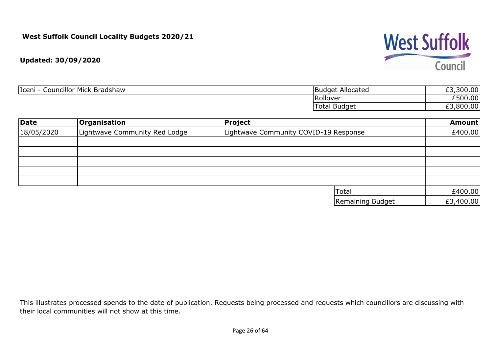

| <b>Councillor Mick Bradshaw</b><br>Iceni<br>$\overline{\phantom{a}}$ | Budget Allocated | £3,300.00           |
|----------------------------------------------------------------------|------------------|---------------------|
|                                                                      | <b>IRollover</b> | £500.00             |
|                                                                      | Budget<br>Total  | ,800.00<br>--<br>__ |

| <b>Date</b> | Organisation                  | Project                               | <b>Amount</b> |
|-------------|-------------------------------|---------------------------------------|---------------|
| 18/05/2020  | Lightwave Community Red Lodge | Lightwave Community COVID-19 Response | £400.00       |
|             |                               |                                       |               |
|             |                               |                                       |               |
|             |                               |                                       |               |
|             |                               |                                       |               |
|             |                               |                                       |               |
|             |                               | Total                                 | £400.00       |
|             |                               | Remaining Budget                      | £3,400.00     |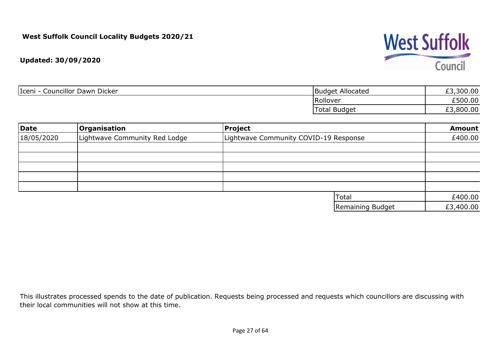# **West Suffolk** Council

**Updated: 30/09/2020**

| Iceni<br>Councillor Dawn Dicker | <b>Budget Allocated</b> | £3,300.00 |
|---------------------------------|-------------------------|-----------|
|                                 | Rollover                | £500.00   |
|                                 | <b>Total Budget</b>     | £3,800.00 |

| Date       | <b>Organisation</b>           | Project                               | <b>Amount</b> |
|------------|-------------------------------|---------------------------------------|---------------|
| 18/05/2020 | Lightwave Community Red Lodge | Lightwave Community COVID-19 Response | £400.00       |
|            |                               |                                       |               |
|            |                               |                                       |               |
|            |                               |                                       |               |
|            |                               |                                       |               |
|            |                               |                                       |               |
|            |                               | Total                                 | £400.00       |
|            |                               | Remaining Budget                      | £3,400.00     |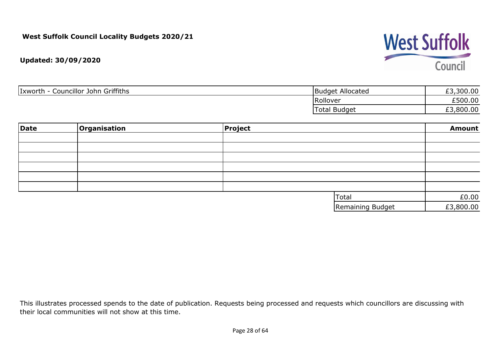# **West Suffolk** Council

**Updated: 30/09/2020**

| Councillor John Griffiths<br>Ixworth<br>$\overline{\phantom{0}}$ | Budget Allocated    | £3,300.00 |
|------------------------------------------------------------------|---------------------|-----------|
|                                                                  | Rollover            | £500.00   |
|                                                                  | <b>Total Budget</b> | £3,800.00 |

| Date | Organisation | <b>Project</b> |                  | <b>Amount</b> |
|------|--------------|----------------|------------------|---------------|
|      |              |                |                  |               |
|      |              |                |                  |               |
|      |              |                |                  |               |
|      |              |                |                  |               |
|      |              |                |                  |               |
|      |              |                |                  |               |
|      |              |                | Total            | £0.00         |
|      |              |                | Remaining Budget | £3,800.00     |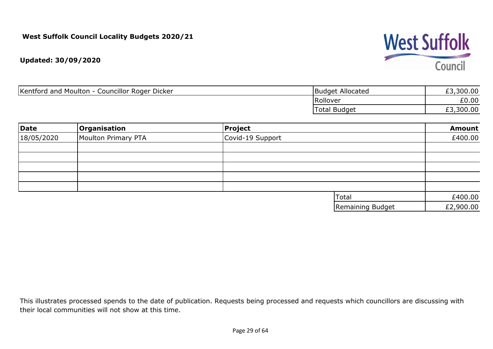

| Kentford and Moulton<br>Councillor Roger Dicker | Budget Allocated    | ,300.00   |
|-------------------------------------------------|---------------------|-----------|
|                                                 | Rollover            | £0.00     |
|                                                 | <b>Total Budget</b> | £3,300.00 |

| Date       | <b>Organisation</b> | Project          |                  | Amount    |
|------------|---------------------|------------------|------------------|-----------|
| 18/05/2020 | Moulton Primary PTA | Covid-19 Support |                  | £400.00   |
|            |                     |                  |                  |           |
|            |                     |                  |                  |           |
|            |                     |                  |                  |           |
|            |                     |                  |                  |           |
|            |                     |                  |                  |           |
|            |                     |                  | Total            | £400.00   |
|            |                     |                  | Remaining Budget | £2,900.00 |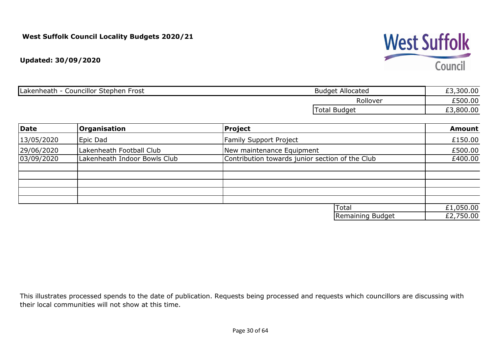**Updated: 30/09/2020**

| <b>Councillor Stephen</b><br>Lakenheath<br>Frost | : Allocated<br>Budget  | ,300.00<br>£3 |
|--------------------------------------------------|------------------------|---------------|
|                                                  | Rollover               | £500.00       |
|                                                  | Totai<br><b>Budget</b> | ,800.00<br>£3 |

| Date       | Organisation                 | <b>Project</b>                                  | <b>Amount</b> |
|------------|------------------------------|-------------------------------------------------|---------------|
| 13/05/2020 | Epic Dad                     | <b>Family Support Project</b>                   | £150.00       |
| 29/06/2020 | Lakenheath Football Club     | New maintenance Equipment                       | £500.00       |
| 03/09/2020 | Lakenheath Indoor Bowls Club | Contribution towards junior section of the Club | £400.00       |
|            |                              |                                                 |               |
|            |                              |                                                 |               |
|            |                              |                                                 |               |
|            |                              |                                                 |               |
|            |                              |                                                 |               |
|            |                              | Total                                           | £1,050.00     |
|            |                              | Remaining Budget                                | £2,750.00     |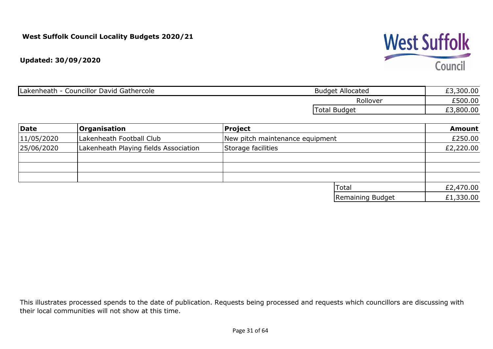

| <b>Councillor David Gathercole</b><br>Lakenheath | <b>Budget Allocated</b> | ,300.00 |
|--------------------------------------------------|-------------------------|---------|
|                                                  | Rollover                | £500.00 |
|                                                  | Total Budget            | ,800.00 |

| Date       | Organisation                          | Project                         | <b>Amount</b> |
|------------|---------------------------------------|---------------------------------|---------------|
| 11/05/2020 | Lakenheath Football Club              | New pitch maintenance equipment | £250.00       |
| 25/06/2020 | Lakenheath Playing fields Association | Storage facilities              | £2,220.00     |
|            |                                       |                                 |               |
|            |                                       |                                 |               |
|            |                                       |                                 |               |
|            |                                       | Total                           | £2,470.00     |
|            |                                       | Remaining Budget                | £1,330.00     |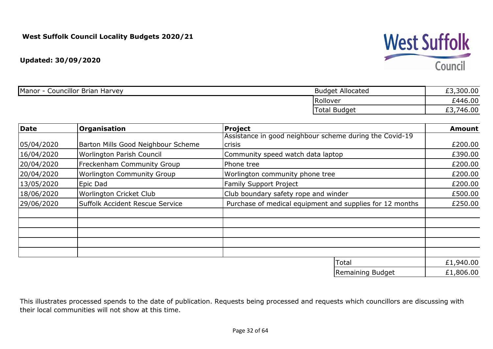

| <b>Councillor Brian Harvey</b><br>Manor | <b>Budget Allocated</b> | ,300.00<br>$\sim$<br>ر_ |
|-----------------------------------------|-------------------------|-------------------------|
|                                         | Rollover                | £446.00                 |
|                                         | Total Budget            | ,746.00<br>~~<br>ر__    |

| Date       | <b>Organisation</b>                | Project                                                  | <b>Amount</b> |
|------------|------------------------------------|----------------------------------------------------------|---------------|
|            |                                    | Assistance in good neighbour scheme during the Covid-19  |               |
| 05/04/2020 | Barton Mills Good Neighbour Scheme | <b>crisis</b>                                            | £200.00       |
| 16/04/2020 | Worlington Parish Council          | Community speed watch data laptop                        | £390.00       |
| 20/04/2020 | Freckenham Community Group         | Phone tree                                               | £200.00       |
| 20/04/2020 | <b>Worlington Community Group</b>  | Worlington community phone tree                          | £200.00       |
| 13/05/2020 | Epic Dad                           | <b>Family Support Project</b>                            | £200.00       |
| 18/06/2020 | Worlington Cricket Club            | Club boundary safety rope and winder                     | £500.00       |
| 29/06/2020 | Suffolk Accident Rescue Service    | Purchase of medical equipment and supplies for 12 months | £250.00       |
|            |                                    |                                                          |               |
|            |                                    |                                                          |               |
|            |                                    |                                                          |               |
|            |                                    |                                                          |               |
|            |                                    | Total                                                    | £1,940.00     |

£1,806.00 Remaining Budget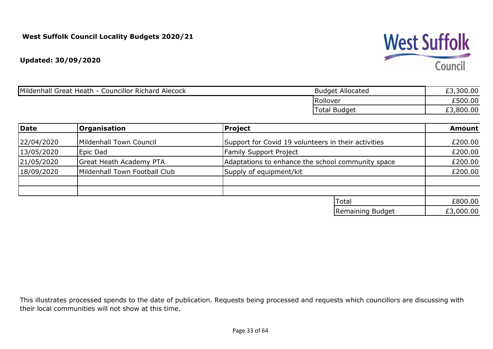**Updated: 30/09/2020**

| Mildenhall Great Heath<br><b>Councillor Richard Alecock</b> | <b>Budget Allocated</b> | ,300.00 |
|-------------------------------------------------------------|-------------------------|---------|
|                                                             | Rollover                | £500.00 |
|                                                             | <b>Total Budget</b>     | ,800.00 |

| Date                                        | <b>Organisation</b>            | Project                                             | <b>Amount</b> |
|---------------------------------------------|--------------------------------|-----------------------------------------------------|---------------|
| 22/04/2020                                  | Mildenhall Town Council        | Support for Covid 19 volunteers in their activities | £200.00       |
| 13/05/2020                                  | Epic Dad                       | <b>Family Support Project</b>                       | £200.00       |
| 21/05/2020                                  | <b>Great Heath Academy PTA</b> | Adaptations to enhance the school community space   | £200.00       |
| 18/09/2020<br>Mildenhall Town Football Club |                                | Supply of equipment/kit                             | £200.00       |
|                                             |                                |                                                     |               |
|                                             |                                | Total                                               | £800.00       |
|                                             |                                | Remaining Budget                                    | £3,000.00     |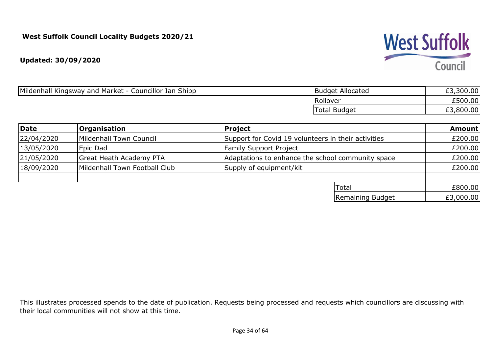**Updated: 30/09/2020**

| <b>Budget Allocated</b> | £3,300.00 |
|-------------------------|-----------|
| Rollover                | 1500.00   |
| <b>Total Budget</b>     | £3,800.00 |
|                         |           |

| Date       | <b>Organisation</b>            | Project                                             | <b>Amount</b> |
|------------|--------------------------------|-----------------------------------------------------|---------------|
| 22/04/2020 | Mildenhall Town Council        | Support for Covid 19 volunteers in their activities | £200.00       |
| 13/05/2020 | Epic Dad                       | <b>Family Support Project</b>                       | £200.00       |
| 21/05/2020 | <b>Great Heath Academy PTA</b> | Adaptations to enhance the school community space   | £200.00       |
| 18/09/2020 | Mildenhall Town Football Club  | Supply of equipment/kit                             | £200.00       |
|            |                                |                                                     |               |
|            |                                | Total                                               | £800.00       |
|            |                                | Remaining Budget                                    | £3,000.00     |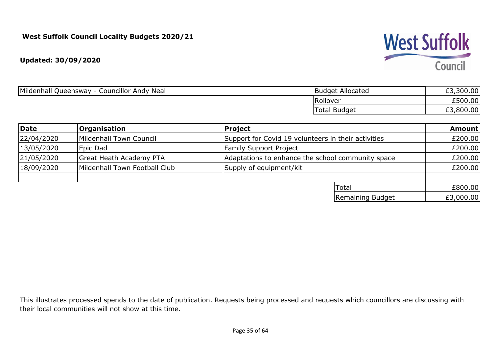

| Mildenhall Queensway -<br>Councillor Andy Neal | <b>Budget Allocated</b> | ,300.00<br>້ |
|------------------------------------------------|-------------------------|--------------|
|                                                | Rollover                | £500.00      |
|                                                | 'Total Budget           | ,800.00      |

| Date                                        | <b>Organisation</b>            | Project                                             | <b>Amount</b> |
|---------------------------------------------|--------------------------------|-----------------------------------------------------|---------------|
| 22/04/2020                                  | Mildenhall Town Council        | Support for Covid 19 volunteers in their activities | £200.00       |
| 13/05/2020                                  | Epic Dad                       | <b>Family Support Project</b>                       | £200.00       |
| 21/05/2020                                  | <b>Great Heath Academy PTA</b> | Adaptations to enhance the school community space   | £200.00       |
| 18/09/2020<br>Mildenhall Town Football Club |                                | Supply of equipment/kit                             | £200.00       |
|                                             |                                |                                                     |               |
|                                             |                                | Total                                               | £800.00       |
|                                             |                                | Remaining Budget                                    | £3,000.00     |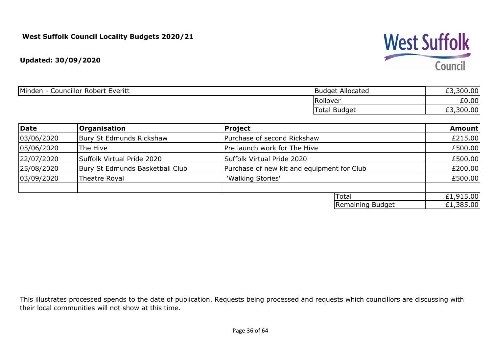**Updated: 30/09/2020**

| Minden<br><b>Councillor Robert</b><br>Everitt | <b>Budget Allocated</b>      | £3,300.00      |
|-----------------------------------------------|------------------------------|----------------|
|                                               | Rollover                     | £0.00          |
|                                               | <sup>'</sup> Budget<br>Total | ,300.00<br>ر__ |

| Date       | <b>Organisation</b>             | Project                                    |                  | <b>Amount</b> |
|------------|---------------------------------|--------------------------------------------|------------------|---------------|
| 03/06/2020 | Bury St Edmunds Rickshaw        | Purchase of second Rickshaw                |                  |               |
| 05/06/2020 | The Hive                        | Pre launch work for The Hive               |                  | £500.00       |
| 22/07/2020 | Suffolk Virtual Pride 2020      | Suffolk Virtual Pride 2020                 |                  | £500.00       |
| 25/08/2020 | Bury St Edmunds Basketball Club | Purchase of new kit and equipment for Club |                  | £200.00       |
| 03/09/2020 | Theatre Royal                   | 'Walking Stories'                          |                  | £500.00       |
|            |                                 |                                            |                  |               |
|            |                                 | Total                                      |                  | £1,915.00     |
|            |                                 |                                            | Remaining Budget | £1,385.00     |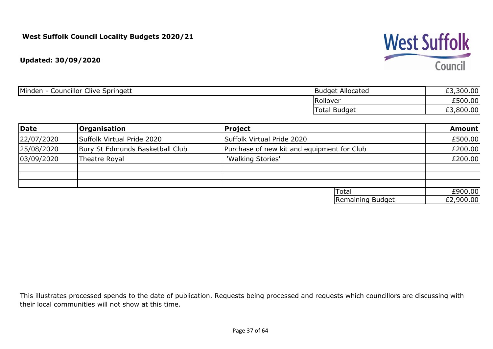

| <b>Councillor Clive Springett</b><br>Minden | <b>Budget Allocated</b> | £3,300.00     |
|---------------------------------------------|-------------------------|---------------|
|                                             | Rollover                | £500.00       |
|                                             | <b>Total Budget</b>     | ,800.00<br>__ |

| Date       | <b>Organisation</b>             | Project                                    | <b>Amount</b> |
|------------|---------------------------------|--------------------------------------------|---------------|
| 22/07/2020 | Suffolk Virtual Pride 2020      | Suffolk Virtual Pride 2020                 | £500.00       |
| 25/08/2020 | Bury St Edmunds Basketball Club | Purchase of new kit and equipment for Club | £200.00       |
| 03/09/2020 | Theatre Royal                   | 'Walking Stories'                          | £200.00       |
|            |                                 |                                            |               |
|            |                                 |                                            |               |
|            |                                 | Total                                      | £900.00       |
|            |                                 | Remaining Budget                           | £2,900.00     |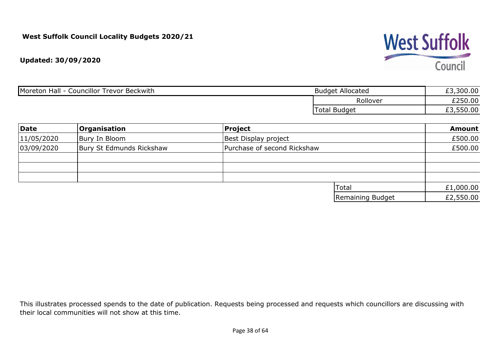

| <b>Councillor Trevor Beckwith</b><br>Moreton Hall | <b>Budget Allocated</b> | £3,300.00 |
|---------------------------------------------------|-------------------------|-----------|
|                                                   | Rollover                | £250.00   |
|                                                   | <b>Total Budget</b>     | 550.00    |

| Date       | <b>Organisation</b>      | Project                     |                  | <b>Amount</b> |
|------------|--------------------------|-----------------------------|------------------|---------------|
| 11/05/2020 | Bury In Bloom            | Best Display project        |                  | £500.00       |
| 03/09/2020 | Bury St Edmunds Rickshaw | Purchase of second Rickshaw |                  | £500.00       |
|            |                          |                             |                  |               |
|            |                          |                             |                  |               |
|            |                          |                             |                  |               |
|            |                          |                             | <b>Total</b>     | £1,000.00     |
|            |                          |                             | Remaining Budget | £2,550.00     |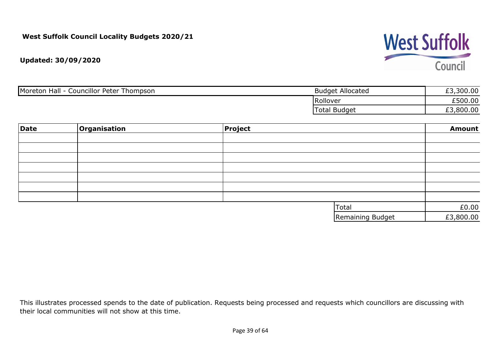# **West Suffolk** Council

**Updated: 30/09/2020**

| Moreton Hall -<br><b>Councillor Peter Thompson</b> | <b>Budget Allocated</b> | £3,300.00 |
|----------------------------------------------------|-------------------------|-----------|
|                                                    | Rollover                | £500.00   |
|                                                    | Total Budget            | ,800.00   |

| Date | Organisation | Project |                  | <b>Amount</b> |
|------|--------------|---------|------------------|---------------|
|      |              |         |                  |               |
|      |              |         |                  |               |
|      |              |         |                  |               |
|      |              |         |                  |               |
|      |              |         |                  |               |
|      |              |         |                  |               |
|      |              |         |                  |               |
|      |              |         | Total            | £0.00         |
|      |              |         | Remaining Budget | £3,800.00     |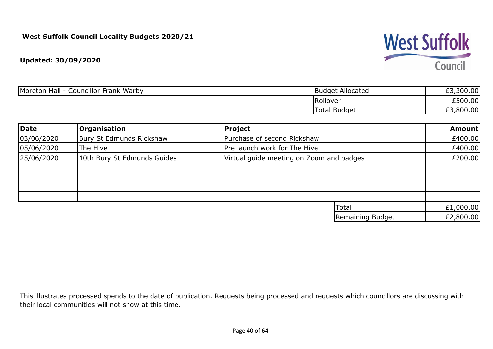

| Moreton Hall<br><b>Councillor Frank Warby</b> | <b>Budget Allocated</b> | £3,300.00 |
|-----------------------------------------------|-------------------------|-----------|
|                                               | Rollover                | £500.00   |
|                                               | <b>Total Budget</b>     | £3,800.00 |

| Date       | Organisation                | <b>Project</b>                           | <b>Amount</b> |
|------------|-----------------------------|------------------------------------------|---------------|
| 03/06/2020 | Bury St Edmunds Rickshaw    | Purchase of second Rickshaw              | £400.00       |
| 05/06/2020 | The Hive                    | Pre launch work for The Hive             | £400.00       |
| 25/06/2020 | 10th Bury St Edmunds Guides | Virtual guide meeting on Zoom and badges | £200.00       |
|            |                             |                                          |               |
|            |                             |                                          |               |
|            |                             |                                          |               |
|            |                             |                                          |               |
|            |                             | Total                                    | £1,000.00     |
|            |                             | Remaining Budget                         | £2,800.00     |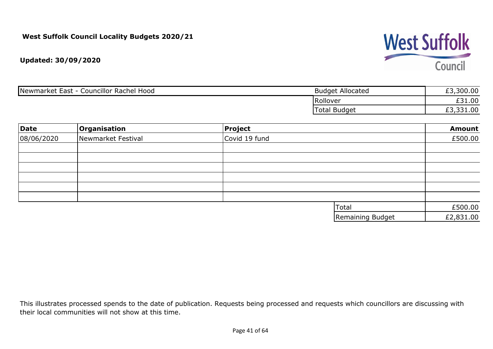

| Newmarket East -<br><b>Councillor Rachel Hood</b> | <b>Budget Allocated</b> | ,300.00<br>rn |
|---------------------------------------------------|-------------------------|---------------|
|                                                   | Rollover                | £31.00        |
|                                                   | Total Budget            | 1.00ش،<br>ェコ  |

| Date       | Organisation       | Project       |                  | <b>Amount</b> |
|------------|--------------------|---------------|------------------|---------------|
| 08/06/2020 | Newmarket Festival | Covid 19 fund |                  | £500.00       |
|            |                    |               |                  |               |
|            |                    |               |                  |               |
|            |                    |               |                  |               |
|            |                    |               |                  |               |
|            |                    |               |                  |               |
|            |                    |               |                  |               |
|            |                    |               | <b>Total</b>     | £500.00       |
|            |                    |               | Remaining Budget | £2,831.00     |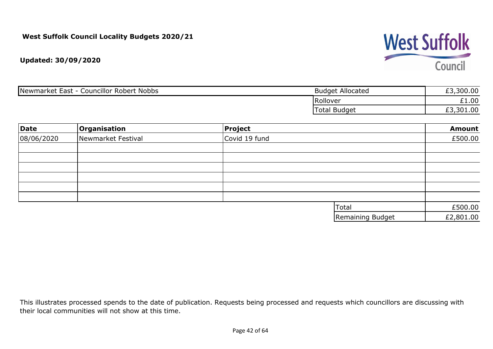

| Newmarket East - 0<br><b>Councillor Robert Nobbs</b> | <b>Budget Allocated</b> | £3,300.00 |
|------------------------------------------------------|-------------------------|-----------|
|                                                      | <b>Rollover</b>         | £1.00     |
|                                                      | Total Budget            | ,301.00   |

| Date       | Organisation       | Project       |                  | <b>Amount</b> |
|------------|--------------------|---------------|------------------|---------------|
| 08/06/2020 | Newmarket Festival | Covid 19 fund |                  | £500.00       |
|            |                    |               |                  |               |
|            |                    |               |                  |               |
|            |                    |               |                  |               |
|            |                    |               |                  |               |
|            |                    |               |                  |               |
|            |                    |               |                  |               |
|            |                    |               | Total            | £500.00       |
|            |                    |               | Remaining Budget | £2,801.00     |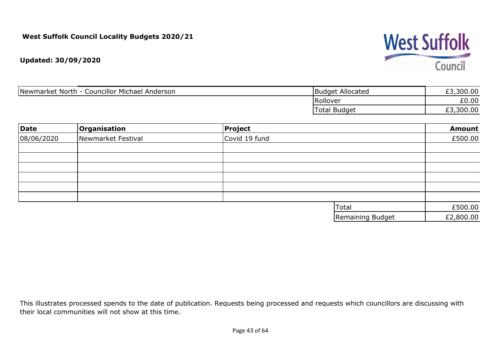

| Newmarket North - Councillor Michael Anderson | <b>Budget Allocated</b> | £3,300.00 |
|-----------------------------------------------|-------------------------|-----------|
|                                               | Rollover                | £0.00     |
|                                               | <b>Total Budget</b>     | £3,300.00 |

| Date       | Organisation       | Project       |                  | <b>Amount</b> |
|------------|--------------------|---------------|------------------|---------------|
| 08/06/2020 | Newmarket Festival | Covid 19 fund |                  | £500.00       |
|            |                    |               |                  |               |
|            |                    |               |                  |               |
|            |                    |               |                  |               |
|            |                    |               |                  |               |
|            |                    |               |                  |               |
|            |                    |               |                  |               |
|            |                    |               | <b>Total</b>     | £500.00       |
|            |                    |               | Remaining Budget | £2,800.00     |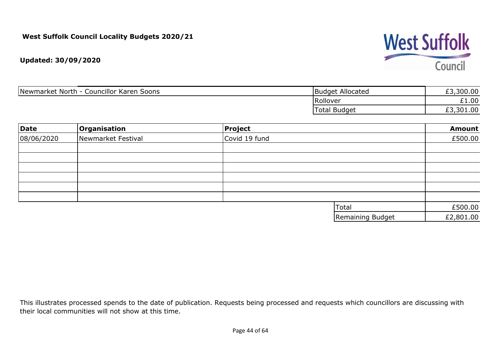

| Newmarket North - Councillor Karen Soons | <b>Budget Allocated</b> | £3,300.00 |
|------------------------------------------|-------------------------|-----------|
|                                          | Rollover                | £1.00     |
|                                          | <b>Total Budget</b>     | £3,301.00 |

| Date       | Organisation       | Project       |                  | <b>Amount</b> |
|------------|--------------------|---------------|------------------|---------------|
| 08/06/2020 | Newmarket Festival | Covid 19 fund |                  | £500.00       |
|            |                    |               |                  |               |
|            |                    |               |                  |               |
|            |                    |               |                  |               |
|            |                    |               |                  |               |
|            |                    |               |                  |               |
|            |                    |               |                  |               |
|            |                    |               | <b>Total</b>     | £500.00       |
|            |                    |               | Remaining Budget | £2,801.00     |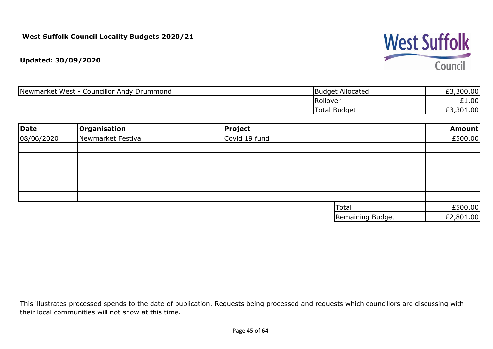

| <b>Councillor Andy Drummond</b><br>Newmarket West | <b>Budget Allocated</b> | ,300.00   |
|---------------------------------------------------|-------------------------|-----------|
|                                                   | Rollover                | £1.00     |
|                                                   | <b>Total Budget</b>     | £3,301.00 |

| Date       | Organisation       | Project       |                  | <b>Amount</b> |
|------------|--------------------|---------------|------------------|---------------|
| 08/06/2020 | Newmarket Festival | Covid 19 fund |                  | £500.00       |
|            |                    |               |                  |               |
|            |                    |               |                  |               |
|            |                    |               |                  |               |
|            |                    |               |                  |               |
|            |                    |               |                  |               |
|            |                    |               |                  |               |
|            |                    |               | Total            | £500.00       |
|            |                    |               | Remaining Budget | £2,801.00     |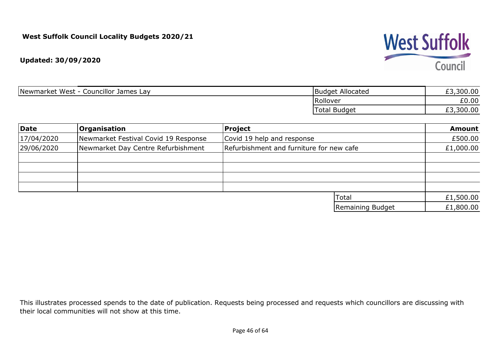

| Councillor James Lay<br>Newmarket West | Budget Allocated | 300.00<br>$\sim$<br>とつ |
|----------------------------------------|------------------|------------------------|
|                                        | Rollover         | £0.00                  |
|                                        | Total Budget     | 300.00<br>ົາ<br>ェコ     |

| Date       | Organisation                         | Project                                  | <b>Amount</b> |
|------------|--------------------------------------|------------------------------------------|---------------|
| 17/04/2020 | Newmarket Festival Covid 19 Response | Covid 19 help and response               | £500.00       |
| 29/06/2020 | Newmarket Day Centre Refurbishment   | Refurbishment and furniture for new cafe | £1,000.00     |
|            |                                      |                                          |               |
|            |                                      |                                          |               |
|            |                                      |                                          |               |
|            |                                      |                                          |               |
|            |                                      | Total                                    | £1,500.00     |
|            |                                      | Remaining Budget                         | £1,800.00     |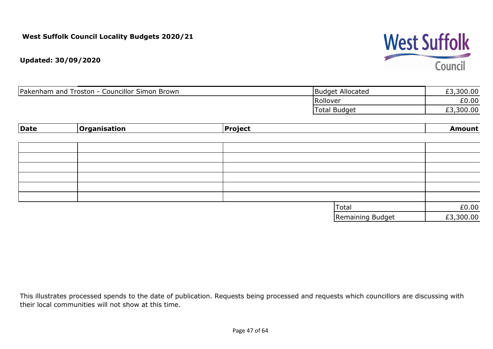# **West Suffolk** Council

**Updated: 30/09/2020**

| Pakenham and Troston - C<br><b>Councillor Simon Brown</b> | <b>Budget Allocated</b> | 300.00<br>£3 |
|-----------------------------------------------------------|-------------------------|--------------|
|                                                           | Rollover                | £0.00        |
|                                                           | Total<br>Budget         | £3,300.00    |

| Date | Organisation | Project |                  | <b>Amount</b> |
|------|--------------|---------|------------------|---------------|
|      |              |         |                  |               |
|      |              |         |                  |               |
|      |              |         |                  |               |
|      |              |         |                  |               |
|      |              |         |                  |               |
|      |              |         |                  |               |
|      |              |         |                  |               |
|      |              |         | Total            | £0.00         |
|      |              |         | Remaining Budget | £3,300.00     |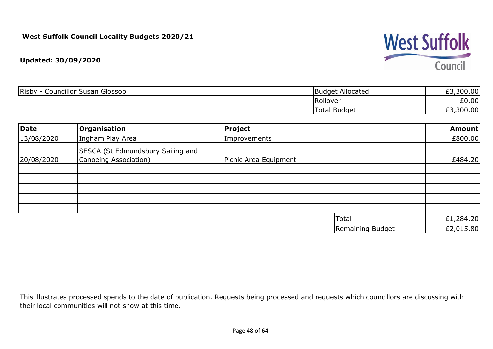

| <b>Risby</b><br><b>Councillor Susan Glossop</b> | Budget Allocated | £3,300.00 |
|-------------------------------------------------|------------------|-----------|
|                                                 | Rollover         | £0.00     |
|                                                 | Total Budget     | £3,300.00 |

| Date       | Organisation                                               | Project               |                  | <b>Amount</b> |
|------------|------------------------------------------------------------|-----------------------|------------------|---------------|
| 13/08/2020 | Ingham Play Area                                           | Improvements          |                  | £800.00       |
| 20/08/2020 | SESCA (St Edmundsbury Sailing and<br>Canoeing Association) | Picnic Area Equipment |                  | £484.20       |
|            |                                                            |                       |                  |               |
|            |                                                            |                       |                  |               |
|            |                                                            |                       |                  |               |
|            |                                                            |                       |                  |               |
|            |                                                            |                       |                  |               |
|            |                                                            |                       | Total            | £1,284.20     |
|            |                                                            |                       | Remaining Budget | £2,015.80     |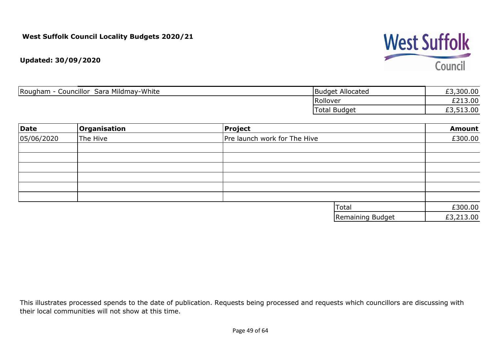

| Councillor Sara Mildmay-White<br>Rougham | <b>Budget Allocated</b> | £3,300.00 |
|------------------------------------------|-------------------------|-----------|
|                                          | Rollover                | £213.00   |
|                                          | <b>Total Budget</b>     | £3,513.00 |

| Date       | Organisation | Project                      |                  | <b>Amount</b> |
|------------|--------------|------------------------------|------------------|---------------|
| 05/06/2020 | The Hive     | Pre launch work for The Hive |                  | £300.00       |
|            |              |                              |                  |               |
|            |              |                              |                  |               |
|            |              |                              |                  |               |
|            |              |                              |                  |               |
|            |              |                              |                  |               |
|            |              |                              |                  |               |
|            |              |                              | Total            | £300.00       |
|            |              |                              | Remaining Budget | £3,213.00     |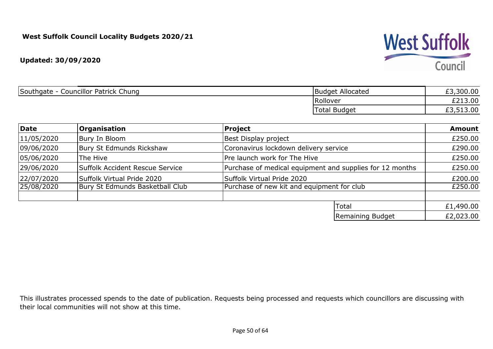#### **Updated: 30/09/2020**

| Southgate<br><b>Councillor Patrick Chung</b> | Budget Allocated | £3,300.00 |
|----------------------------------------------|------------------|-----------|
|                                              | Rollover         | £213.00   |
|                                              | 'Total Budget    | £3,513.00 |

| Date       | <b>Organisation</b>             | <b>Project</b>                                           | <b>Amount</b> |
|------------|---------------------------------|----------------------------------------------------------|---------------|
| 11/05/2020 | Bury In Bloom                   | Best Display project                                     | £250.00       |
| 09/06/2020 | Bury St Edmunds Rickshaw        | Coronavirus lockdown delivery service                    | £290.00       |
| 05/06/2020 | The Hive                        | Pre launch work for The Hive                             | £250.00       |
| 29/06/2020 | Suffolk Accident Rescue Service | Purchase of medical equipment and supplies for 12 months | £250.00       |
| 22/07/2020 | Suffolk Virtual Pride 2020      | Suffolk Virtual Pride 2020                               | £200.00       |
| 25/08/2020 | Bury St Edmunds Basketball Club | Purchase of new kit and equipment for club               | £250.00       |
|            |                                 |                                                          |               |
|            |                                 | Total                                                    | £1,490.00     |
|            |                                 | Remaining Budget                                         | £2,023.00     |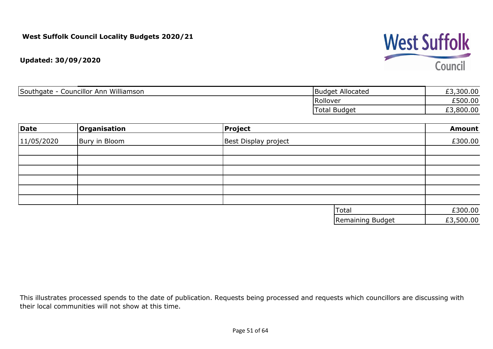## **West Suffolk** Council

**Updated: 30/09/2020**

| Williamson<br>Southgate<br>Councillor Ann | <b>Budget Allocated</b> | £3,300.00 |
|-------------------------------------------|-------------------------|-----------|
|                                           | Rollover                | £500.00   |
|                                           | <b>Total Budget</b>     | ,800.00   |

| Date       | Organisation  | Project              |                  | <b>Amount</b> |
|------------|---------------|----------------------|------------------|---------------|
| 11/05/2020 | Bury in Bloom | Best Display project |                  | £300.00       |
|            |               |                      |                  |               |
|            |               |                      |                  |               |
|            |               |                      |                  |               |
|            |               |                      |                  |               |
|            |               |                      |                  |               |
|            |               |                      |                  |               |
|            |               |                      | <b>Total</b>     | £300.00       |
|            |               |                      | Remaining Budget | £3,500.00     |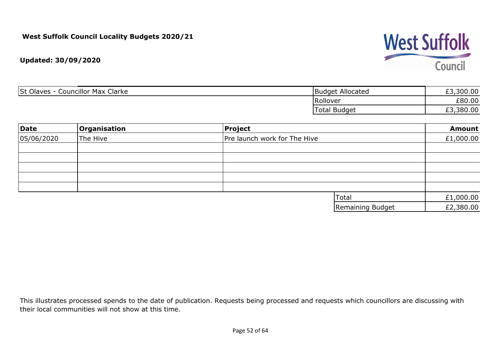# **West Suffolk** Council

**Updated: 30/09/2020**

| <b>St Olaves</b><br>Clarke<br>Councillor Max (<br>- | <b>Budget Allocated</b> | £3,300.00 |
|-----------------------------------------------------|-------------------------|-----------|
|                                                     | Rollover                | £80.00    |
|                                                     | <b>Total Budget</b>     | £3,380.00 |

| Date       | Organisation | Project                      |                  | <b>Amount</b> |
|------------|--------------|------------------------------|------------------|---------------|
| 05/06/2020 | The Hive     | Pre launch work for The Hive |                  | £1,000.00     |
|            |              |                              |                  |               |
|            |              |                              |                  |               |
|            |              |                              |                  |               |
|            |              |                              |                  |               |
|            |              |                              |                  |               |
|            |              |                              | Total            | £1,000.00     |
|            |              |                              | Remaining Budget | £2,380.00     |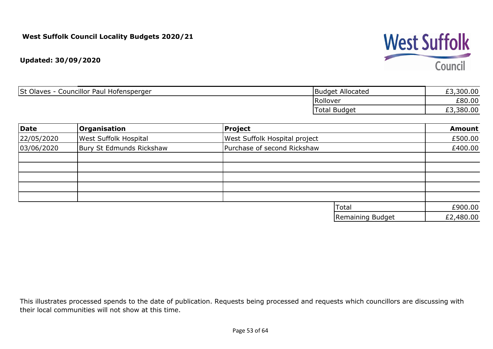

| Councillor Paul Hofensperger<br><b>St Olaves</b> | <b>Budget Allocated</b> | £3,300.00 |
|--------------------------------------------------|-------------------------|-----------|
|                                                  | Rollover                | £80.00    |
|                                                  | <b>Total Budget</b>     | £3,380.00 |

| Date       | Organisation                 | <b>Project</b>                       | <b>Amount</b> |
|------------|------------------------------|--------------------------------------|---------------|
| 22/05/2020 | <b>West Suffolk Hospital</b> | <b>West Suffolk Hospital project</b> | £500.00       |
| 03/06/2020 | Bury St Edmunds Rickshaw     | Purchase of second Rickshaw          | £400.00       |
|            |                              |                                      |               |
|            |                              |                                      |               |
|            |                              |                                      |               |
|            |                              |                                      |               |
|            |                              |                                      |               |
|            |                              | Total                                | £900.00       |
|            |                              | Remaining Budget                     | £2,480.00     |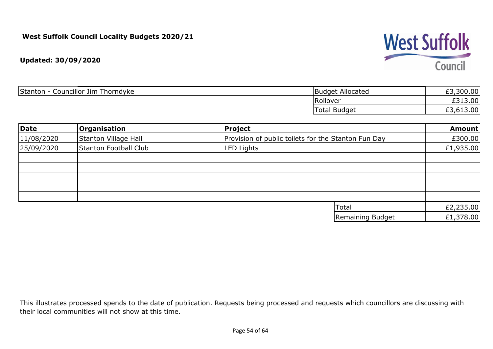

| Councillor Jim Thorndyke<br>Stanton | : Allocated<br> Budget | £3,300.00 |
|-------------------------------------|------------------------|-----------|
|                                     | Rollover               | £313.00   |
|                                     | <b>Total Budget</b>    | £3,613.00 |

| Date       | Organisation          | <b>Project</b>                                      | <b>Amount</b> |
|------------|-----------------------|-----------------------------------------------------|---------------|
| 11/08/2020 | Stanton Village Hall  | Provision of public toilets for the Stanton Fun Day | £300.00       |
| 25/09/2020 | Stanton Football Club | <b>LED Lights</b>                                   | £1,935.00     |
|            |                       |                                                     |               |
|            |                       |                                                     |               |
|            |                       |                                                     |               |
|            |                       |                                                     |               |
|            |                       |                                                     |               |
|            |                       | Total                                               | £2,235.00     |
|            |                       | Remaining Budget                                    | £1,378.00     |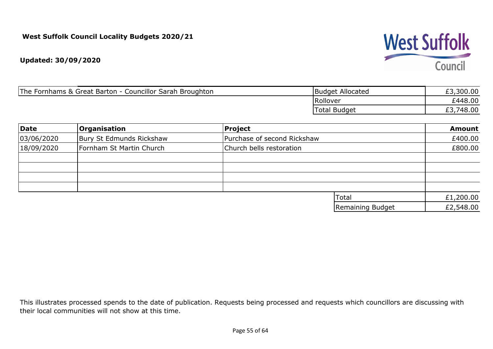**Updated: 30/09/2020**

| The Fornhams & Great Barton - Councillor Sarah Broughton | Budget Allocated | £3,300.00 |
|----------------------------------------------------------|------------------|-----------|
|                                                          | Rollover         | £448.00   |
|                                                          | Total Budget     | 748.00    |

| Date       | <b>Organisation</b>      | Project                     |                  | <b>Amount</b> |
|------------|--------------------------|-----------------------------|------------------|---------------|
| 03/06/2020 | Bury St Edmunds Rickshaw | Purchase of second Rickshaw |                  | £400.00       |
| 18/09/2020 | Fornham St Martin Church | Church bells restoration    |                  | £800.00       |
|            |                          |                             |                  |               |
|            |                          |                             |                  |               |
|            |                          |                             |                  |               |
|            |                          |                             |                  |               |
|            |                          |                             | Total            | £1,200.00     |
|            |                          |                             | Remaining Budget | £2,548.00     |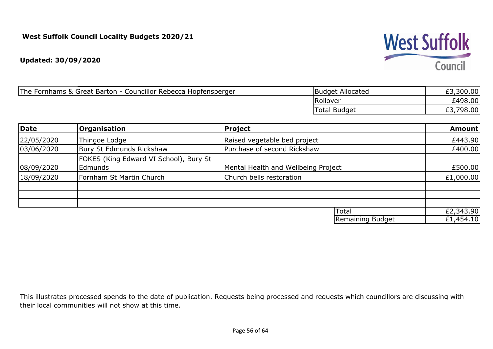#### **Updated: 30/09/2020**

| The Fornhams & Great Barton - Councillor Rebecca Hopfensperger | <b>Budget Allocated</b> | ,300.00 |
|----------------------------------------------------------------|-------------------------|---------|
|                                                                | Rollover                | £498.00 |
|                                                                | 'Total Budget           | 798.00  |

| Date       | <b>Organisation</b>                               | Project                             |                  | <b>Amount</b> |
|------------|---------------------------------------------------|-------------------------------------|------------------|---------------|
| 22/05/2020 | Thingoe Lodge                                     | Raised vegetable bed project        |                  | £443.90       |
| 03/06/2020 | Bury St Edmunds Rickshaw                          | Purchase of second Rickshaw         |                  | £400.00       |
| 08/09/2020 | FOKES (King Edward VI School), Bury St<br>Edmunds | Mental Health and Wellbeing Project |                  | £500.00       |
| 18/09/2020 | Fornham St Martin Church                          | Church bells restoration            |                  | £1,000.00     |
|            |                                                   |                                     |                  |               |
|            |                                                   | Total                               |                  | £2,343.90     |
|            |                                                   |                                     | Remaining Budget | £1,454.10     |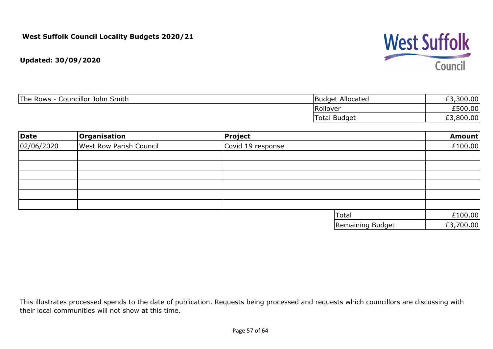

**Updated: 30/09/2020**

| The Rows<br>Councillor John Smith | Budget Allocated    | ,300.00<br>$\sim$ |
|-----------------------------------|---------------------|-------------------|
|                                   | Rollover            | £500.00           |
|                                   | <b>Total Budget</b> | ,800.00           |

| Date       | Organisation                   | <b>Project</b>    | <b>Amount</b> |
|------------|--------------------------------|-------------------|---------------|
| 02/06/2020 | <b>West Row Parish Council</b> | Covid 19 response | £100.00       |
|            |                                |                   |               |
|            |                                |                   |               |
|            |                                |                   |               |
|            |                                |                   |               |
|            |                                |                   |               |
|            |                                |                   |               |
|            |                                | Total             | £100.00       |
|            |                                | Remaining Budget  | £3,700.00     |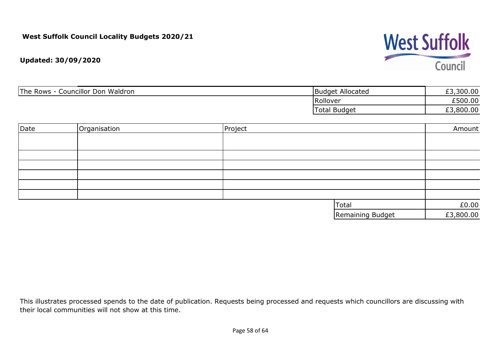# **West Suffolk** Council

**Updated: 30/09/2020**

| The Rows<br>Councillor Don Waldron | <b>Budget Allocated</b> | ,300.00<br>C<br>ェっ |
|------------------------------------|-------------------------|--------------------|
|                                    | Rollover                | £500.00            |
|                                    | Total Budget            | £3,800.00          |

| Date | Organisation | Project |                  | Amount    |
|------|--------------|---------|------------------|-----------|
|      |              |         |                  |           |
|      |              |         |                  |           |
|      |              |         |                  |           |
|      |              |         |                  |           |
|      |              |         |                  |           |
|      |              |         |                  |           |
|      |              |         |                  |           |
|      |              |         | Total            | £0.00     |
|      |              |         | Remaining Budget | £3,800.00 |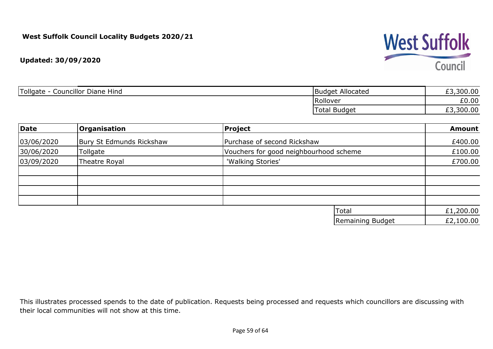

| Councillor Diane F<br><i>d</i> Tollgate<br>Hind | Budget Allocated       | £3,300.00 |
|-------------------------------------------------|------------------------|-----------|
|                                                 | Rollover               | £0.00     |
|                                                 | <b>Budget</b><br>Total | £3,300.00 |

| Date       | Organisation             | Project                                | <b>Amount</b> |
|------------|--------------------------|----------------------------------------|---------------|
| 03/06/2020 | Bury St Edmunds Rickshaw | Purchase of second Rickshaw            | £400.00       |
| 30/06/2020 | Tollgate                 | Vouchers for good neighbourhood scheme | £100.00       |
| 03/09/2020 | Theatre Royal            | 'Walking Stories'                      | £700.00       |
|            |                          |                                        |               |
|            |                          |                                        |               |
|            |                          |                                        |               |
|            |                          |                                        |               |
|            |                          | Total                                  | £1,200.00     |
|            |                          | Remaining Budget                       | £2,100.00     |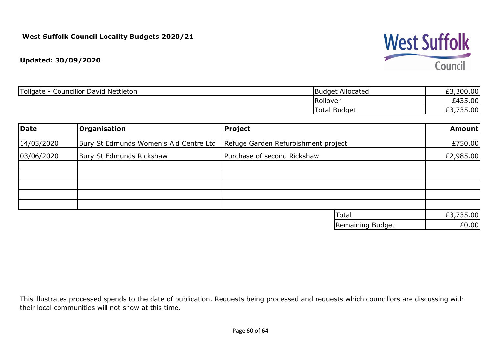

| <b>Tollgate</b><br><b>Councillor David Nettleton</b> | : Allocated<br> Budget | £3,300.00            |
|------------------------------------------------------|------------------------|----------------------|
|                                                      | Rollover               | £435.00              |
|                                                      | <b>Total Budget</b>    | 735.00<br><u>, J</u> |

| Date       | <b>Organisation</b>                    | <b>Project</b>                      | <b>Amount</b> |
|------------|----------------------------------------|-------------------------------------|---------------|
| 14/05/2020 | Bury St Edmunds Women's Aid Centre Ltd | Refuge Garden Refurbishment project | £750.00       |
| 03/06/2020 | Bury St Edmunds Rickshaw               | Purchase of second Rickshaw         | £2,985.00     |
|            |                                        |                                     |               |
|            |                                        |                                     |               |
|            |                                        |                                     |               |
|            |                                        |                                     |               |
|            |                                        |                                     |               |
|            |                                        | Total                               | £3,735.00     |
|            |                                        | Remaining Budget                    | £0.00         |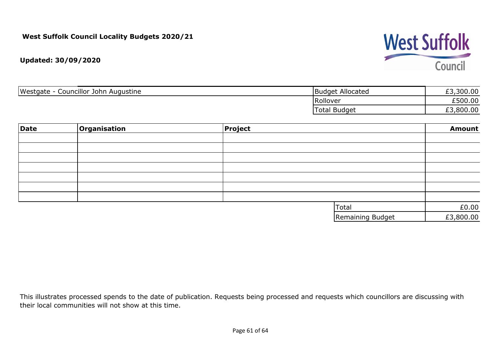# **West Suffolk** Council

**Updated: 30/09/2020**

| Westgate -<br>Councillor John Augustine | <b>Budget Allocated</b> | ,300.00<br>$\sim$<br>ェコ |
|-----------------------------------------|-------------------------|-------------------------|
|                                         | Rollover                | £500.00                 |
|                                         | <b>Total Budget</b>     | ,800.00                 |

| Date | Organisation | Project |                  | <b>Amount</b> |
|------|--------------|---------|------------------|---------------|
|      |              |         |                  |               |
|      |              |         |                  |               |
|      |              |         |                  |               |
|      |              |         |                  |               |
|      |              |         |                  |               |
|      |              |         |                  |               |
|      |              |         |                  |               |
|      |              |         | <b>Total</b>     | £0.00         |
|      |              |         | Remaining Budget | £3,800.00     |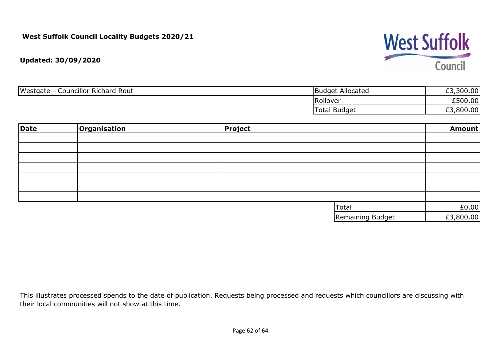# **West Suffolk** Council

**Updated: 30/09/2020**

| Westgate<br><b>Councillor Richard Rout</b> | Budget Allocated    | ,300.00<br>$\sim$ |
|--------------------------------------------|---------------------|-------------------|
|                                            | Rollover            | £500.00           |
|                                            | <b>Total Budget</b> | ,800.00<br>ェコ     |

| Date | Organisation | Project |                  | <b>Amount</b> |
|------|--------------|---------|------------------|---------------|
|      |              |         |                  |               |
|      |              |         |                  |               |
|      |              |         |                  |               |
|      |              |         |                  |               |
|      |              |         |                  |               |
|      |              |         |                  |               |
|      |              |         |                  |               |
|      |              |         | Total            | £0.00         |
|      |              |         | Remaining Budget | £3,800.00     |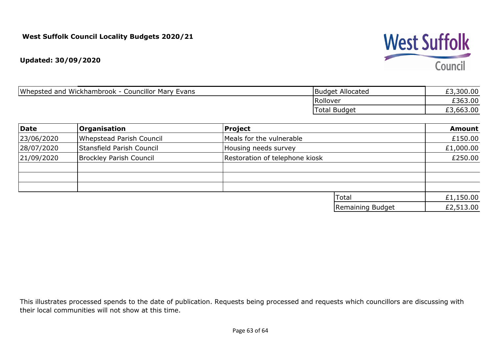**Updated: 30/09/2020**

| Whepsted and<br><b>Councillor Mary Evans</b><br>. Wickhambrook - ' | <b>Budget Allocated</b> | ,300.00<br><b>rn</b> |
|--------------------------------------------------------------------|-------------------------|----------------------|
|                                                                    | Rollover                | £363.00              |
|                                                                    | <b>Total Budget</b>     | ,663.00              |

| Date       | <b>Organisation</b>             | Project                        |                  | <b>Amount</b> |
|------------|---------------------------------|--------------------------------|------------------|---------------|
| 23/06/2020 | <b>Whepstead Parish Council</b> | Meals for the vulnerable       |                  | £150.00       |
| 28/07/2020 | Stansfield Parish Council       | Housing needs survey           |                  | £1,000.00     |
| 21/09/2020 | Brockley Parish Council         | Restoration of telephone kiosk |                  | £250.00       |
|            |                                 |                                |                  |               |
|            |                                 |                                |                  |               |
|            |                                 |                                |                  |               |
|            |                                 | Total                          |                  | £1,150.00     |
|            |                                 |                                | Remaining Budget | £2,513.00     |